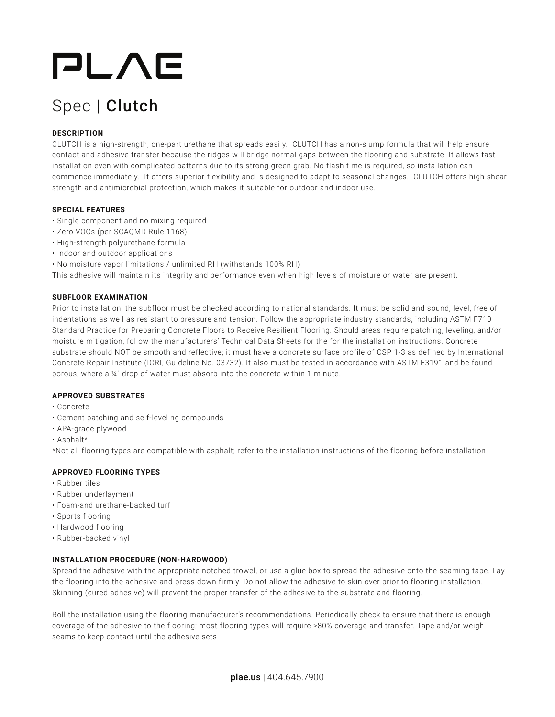# PLAE

# Spec | Clutch

## **DESCRIPTION**

CLUTCH is a high-strength, one-part urethane that spreads easily. CLUTCH has a non-slump formula that will help ensure contact and adhesive transfer because the ridges will bridge normal gaps between the flooring and substrate. It allows fast installation even with complicated patterns due to its strong green grab. No flash time is required, so installation can commence immediately. It offers superior flexibility and is designed to adapt to seasonal changes. CLUTCH offers high shear strength and antimicrobial protection, which makes it suitable for outdoor and indoor use.

#### **SPECIAL FEATURES**

- Single component and no mixing required
- Zero VOCs (per SCAQMD Rule 1168)
- High-strength polyurethane formula
- Indoor and outdoor applications
- No moisture vapor limitations / unlimited RH (withstands 100% RH)

This adhesive will maintain its integrity and performance even when high levels of moisture or water are present.

#### **SUBFLOOR EXAMINATION**

Prior to installation, the subfloor must be checked according to national standards. It must be solid and sound, level, free of indentations as well as resistant to pressure and tension. Follow the appropriate industry standards, including ASTM F710 Standard Practice for Preparing Concrete Floors to Receive Resilient Flooring. Should areas require patching, leveling, and/or moisture mitigation, follow the manufacturers' Technical Data Sheets for the for the installation instructions. Concrete substrate should NOT be smooth and reflective; it must have a concrete surface profile of CSP 1-3 as defined by International Concrete Repair Institute (ICRI, Guideline No. 03732). It also must be tested in accordance with ASTM F3191 and be found porous, where a ¼" drop of water must absorb into the concrete within 1 minute.

#### **APPROVED SUBSTRATES**

- Concrete
- Cement patching and self-leveling compounds
- APA-grade plywood
- Asphalt\*

\*Not all flooring types are compatible with asphalt; refer to the installation instructions of the flooring before installation.

### **APPROVED FLOORING TYPES**

- Rubber tiles
- Rubber underlayment
- Foam-and urethane-backed turf
- Sports flooring
- Hardwood flooring
- Rubber-backed vinyl

### **INSTALLATION PROCEDURE (NON-HARDWOOD)**

Spread the adhesive with the appropriate notched trowel, or use a glue box to spread the adhesive onto the seaming tape. Lay the flooring into the adhesive and press down firmly. Do not allow the adhesive to skin over prior to flooring installation. Skinning (cured adhesive) will prevent the proper transfer of the adhesive to the substrate and flooring.

Roll the installation using the flooring manufacturer's recommendations. Periodically check to ensure that there is enough coverage of the adhesive to the flooring; most flooring types will require >80% coverage and transfer. Tape and/or weigh seams to keep contact until the adhesive sets.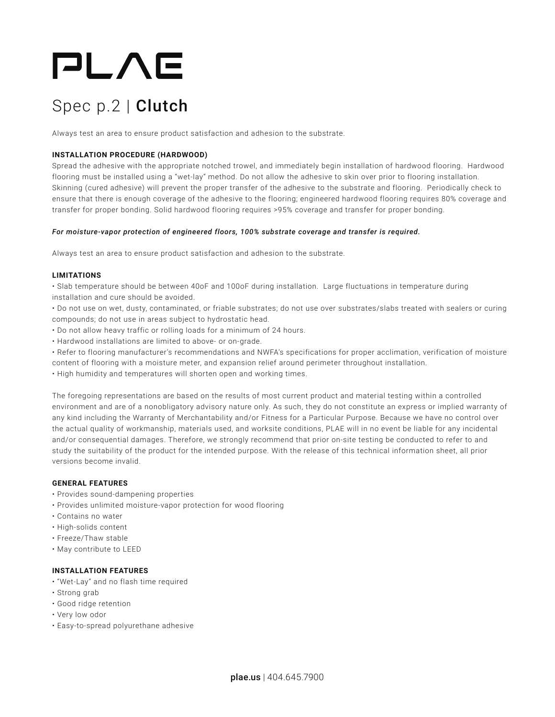# PLAE

# Spec p.2 | Clutch

Always test an area to ensure product satisfaction and adhesion to the substrate.

#### **INSTALLATION PROCEDURE (HARDWOOD)**

Spread the adhesive with the appropriate notched trowel, and immediately begin installation of hardwood flooring. Hardwood flooring must be installed using a "wet-lay" method. Do not allow the adhesive to skin over prior to flooring installation. Skinning (cured adhesive) will prevent the proper transfer of the adhesive to the substrate and flooring. Periodically check to ensure that there is enough coverage of the adhesive to the flooring; engineered hardwood flooring requires 80% coverage and transfer for proper bonding. Solid hardwood flooring requires >95% coverage and transfer for proper bonding.

#### *For moisture-vapor protection of engineered floors, 100% substrate coverage and transfer is required.*

Always test an area to ensure product satisfaction and adhesion to the substrate.

#### **LIMITATIONS**

• Slab temperature should be between 40oF and 100oF during installation. Large fluctuations in temperature during installation and cure should be avoided.

• Do not use on wet, dusty, contaminated, or friable substrates; do not use over substrates/slabs treated with sealers or curing compounds; do not use in areas subject to hydrostatic head.

- Do not allow heavy traffic or rolling loads for a minimum of 24 hours.
- Hardwood installations are limited to above- or on-grade.

• Refer to flooring manufacturer's recommendations and NWFA's specifications for proper acclimation, verification of moisture content of flooring with a moisture meter, and expansion relief around perimeter throughout installation.

• High humidity and temperatures will shorten open and working times.

The foregoing representations are based on the results of most current product and material testing within a controlled environment and are of a nonobligatory advisory nature only. As such, they do not constitute an express or implied warranty of any kind including the Warranty of Merchantability and/or Fitness for a Particular Purpose. Because we have no control over the actual quality of workmanship, materials used, and worksite conditions, PLAE will in no event be liable for any incidental and/or consequential damages. Therefore, we strongly recommend that prior on-site testing be conducted to refer to and study the suitability of the product for the intended purpose. With the release of this technical information sheet, all prior versions become invalid.

#### **GENERAL FEATURES**

- Provides sound-dampening properties
- Provides unlimited moisture-vapor protection for wood flooring
- Contains no water
- High-solids content
- Freeze/Thaw stable
- May contribute to LEED

#### **INSTALLATION FEATURES**

- "Wet-Lay" and no flash time required
- Strong grab
- Good ridge retention
- Very low odor
- Easy-to-spread polyurethane adhesive